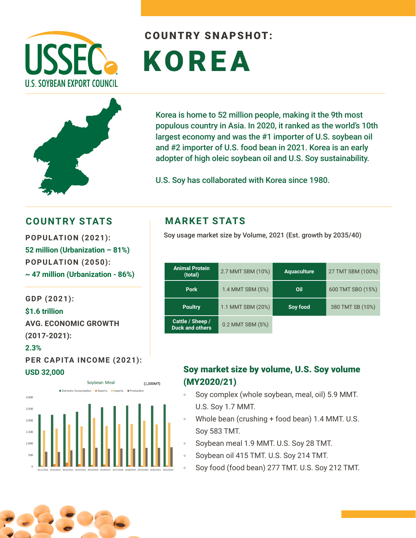



# COUNTRY SNAPSHOT: KOREA

Korea is home to 52 million people, making it the 9th most populous country in Asia. In 2020, it ranked as the world's 10th largest economy and was the #1 importer of U.S. soybean oil and #2 importer of U.S. food bean in 2021. Korea is an early adopter of high oleic soybean oil and U.S. Soy sustainability.

U.S. Soy has collaborated with Korea since 1980.

### **COUNTRY STATS MARKET STATS**

**52 million (Urbanization – 81%) POPULATION (2050): ~ 47 million (Urbanization - 86%)**

**GDP (2021): \$1.6 trillion AVG. ECONOMIC GROWTH (2017-2021): 2.3%** 

**PER CAPITA INCOME (2021): USD 32,000**



Soy usage market size by Volume, 2021 (Est. growth by 2035/40) **POPULATION (2021):** 

| <b>Animal Protein</b><br>(total)           | 2.7 MMT SBM (10%) | <b>Aquaculture</b> | 27 TMT SBM (100%) |
|--------------------------------------------|-------------------|--------------------|-------------------|
| <b>Pork</b>                                | 1.4 MMT SBM (5%)  | Oil                | 600 TMT SBO (15%) |
| <b>Poultry</b>                             | 1.1 MMT SBM (20%) | Soy food           | 380 TMT SB (10%)  |
| Cattle / Sheep /<br><b>Duck and others</b> | 0.2 MMT SBM (5%)  |                    |                   |

#### Soy market size by volume, U.S. Soy volume (MY2020/21)

- Soy complex (whole soybean, meal, oil) 5.9 MMT. U.S. Soy 1.7 MMT.
- Whole bean (crushing + food bean) 1.4 MMT. U.S. Soy 583 TMT.
- Soybean meal 1.9 MMT. U.S. Soy 28 TMT.
- Soybean oil 415 TMT. U.S. Soy 214 TMT.
- Soy food (food bean) 277 TMT. U.S. Soy 212 TMT.